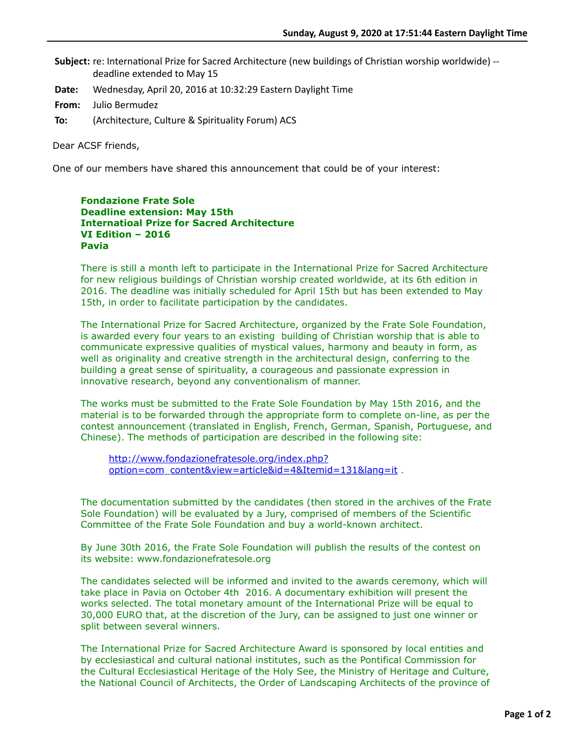**Subject:** re: International Prize for Sacred Architecture (new buildings of Christian worship worldwide) -deadline extended to May 15

- **Date:** Wednesday, April 20, 2016 at 10:32:29 Eastern Daylight Time
- **From:** Julio Bermudez

**To:** (Architecture, Culture & Spirituality Forum) ACS

Dear ACSF friends,

One of our members have shared this announcement that could be of your interest:

**Fondazione Frate Sole Deadline extension: May 15th Internatioal Prize for Sacred Architecture VI Edition – 2016 Pavia**

There is still a month left to participate in the International Prize for Sacred Architecture for new religious buildings of Christian worship created worldwide, at its 6th edition in 2016. The deadline was initially scheduled for April 15th but has been extended to May 15th, in order to facilitate participation by the candidates.

The International Prize for Sacred Architecture, organized by the Frate Sole Foundation, is awarded every four years to an existing building of Christian worship that is able to communicate expressive qualities of mystical values, harmony and beauty in form, as well as originality and creative strength in the architectural design, conferring to the building a great sense of spirituality, a courageous and passionate expression in innovative research, beyond any conventionalism of manner.

The works must be submitted to the Frate Sole Foundation by May 15th 2016, and the material is to be forwarded through the appropriate form to complete on-line, as per the contest announcement (translated in English, French, German, Spanish, Portuguese, and Chinese). The methods of participation are described in the following site:

http://www.fondazionefratesole.org/index.php? [option=com\\_content&view=article&id=4&Itemid=131&lang=it](http://www.fondazionefratesole.org/index.php?option=com_content&view=article&id=4&Itemid=131&lang=it) .

The documentation submitted by the candidates (then stored in the archives of the Frate Sole Foundation) will be evaluated by a Jury, comprised of members of the Scientific Committee of the Frate Sole Foundation and buy a world-known architect.

By June 30th 2016, the Frate Sole Foundation will publish the results of the contest on its website: www.fondazionefratesole.org

The candidates selected will be informed and invited to the awards ceremony, which will take place in Pavia on October 4th 2016. A documentary exhibition will present the works selected. The total monetary amount of the International Prize will be equal to 30,000 EURO that, at the discretion of the Jury, can be assigned to just one winner or split between several winners.

The International Prize for Sacred Architecture Award is sponsored by local entities and by ecclesiastical and cultural national institutes, such as the Pontifical Commission for the Cultural Ecclesiastical Heritage of the Holy See, the Ministry of Heritage and Culture, the National Council of Architects, the Order of Landscaping Architects of the province of